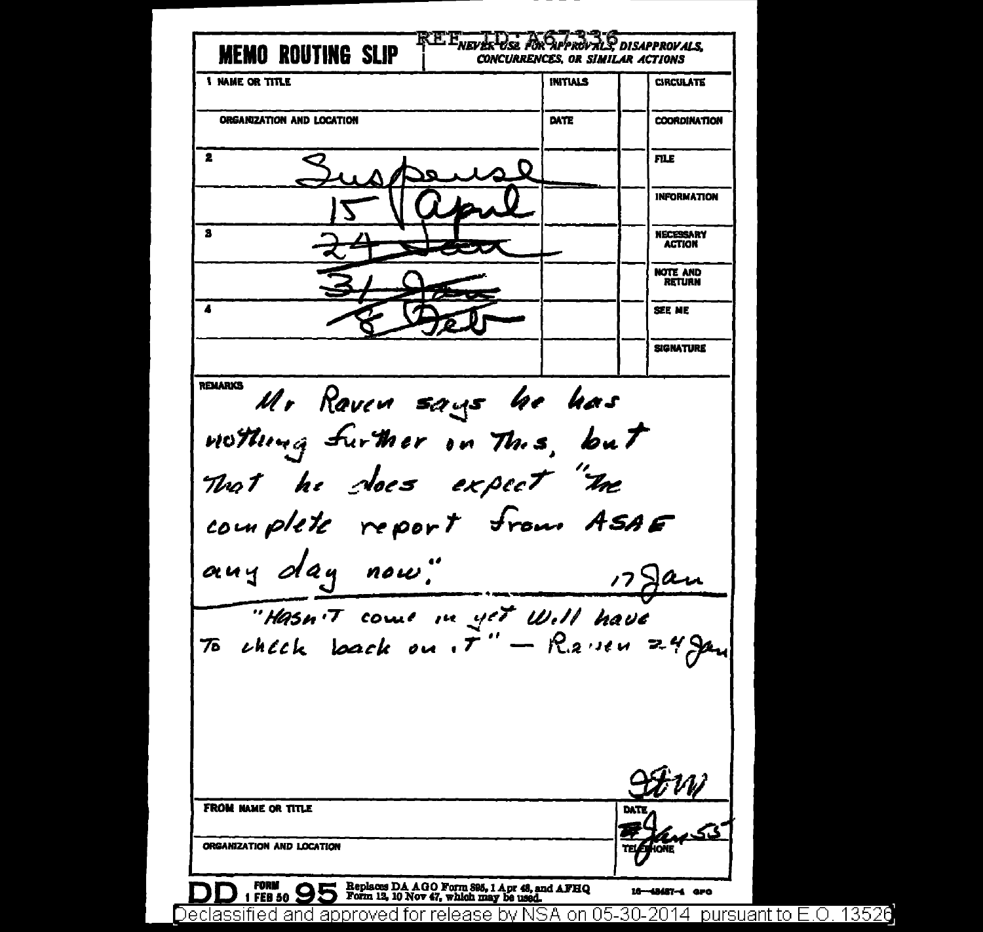**EL ENEVALUSA POR APPROVALS DISAPPROVALS. MEMO ROUTING SLIP CONCURRENCES, OR SIMILAR ACTIONS 1 NAME OR TITLE INITIALS CIRCULATE** ORGANIZATION AND LOCATION DATE **COORDINATION**  $\overline{\mathbf{2}}$ **FILE INFORMATION**  $\overline{\mathbf{a}}$ NECESSARY **ACTION NOTE AND RETURN**  $\overline{\textbf{A}}$ **SEE ME SIGNATURE** REMARKS Mr Raven says he has nothing further in This, but That he does expect "In complete report from ASAE any day now."  $17$ gan "Hasn't come in yet Will have **FROM HAME OR TITLE** ORGANIZATION AND LOCATION FORM 1 FEB 50 95 Form 12, 10 Nov 47, which may be used. 16-48487-4 aro Declassified and approved for release by NSA on 05-30-2014 pursuant to E.O. 13520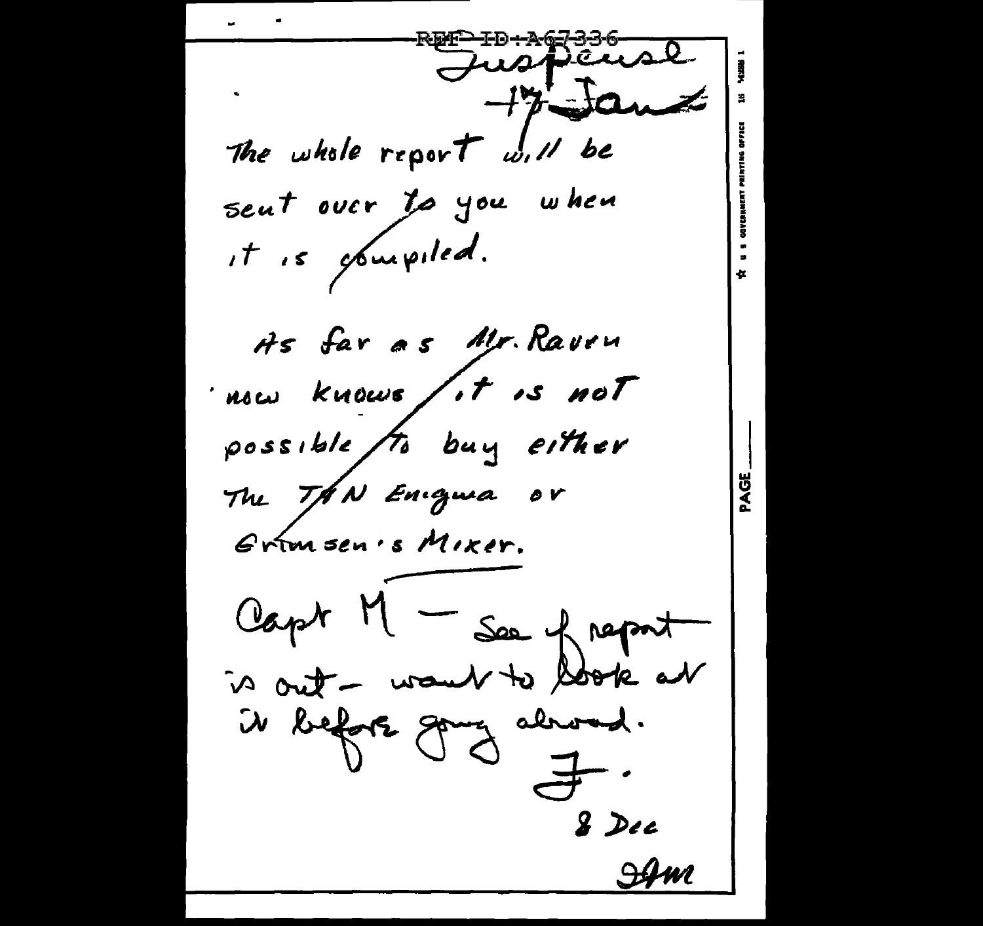Juspense  $+7$   $5$ The whole report will be sent over to you when it is obuipiled. As far as Mr. Ravru now knows fit is not possible to buy either The TAN Enigma or Grimsen's Mixer. Capt M - See of report is out - want to book at il before going abroad. & Dec  $\mathcal{A}$ m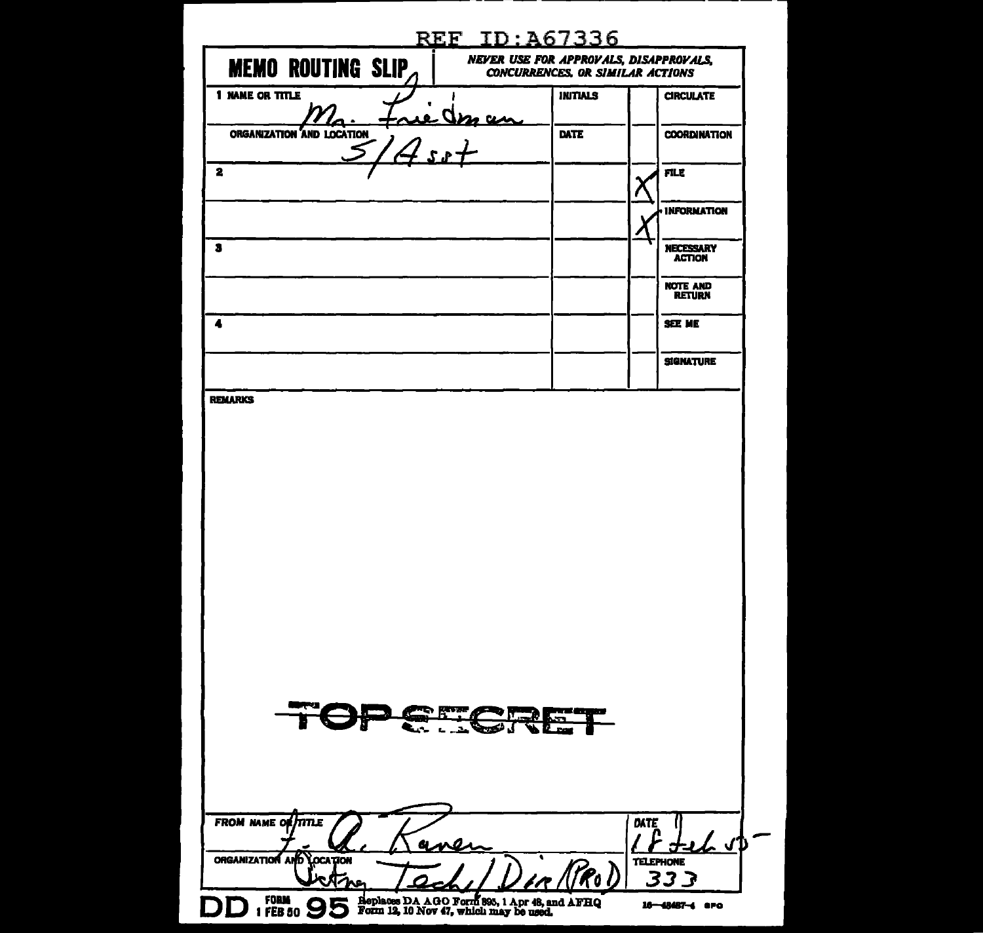|                                                          | <u>REF ID:A67336</u>                                                                     |                                   |
|----------------------------------------------------------|------------------------------------------------------------------------------------------|-----------------------------------|
| <b>MEMO ROUTING SLIP</b>                                 | <b>NEVER USE FOR APPROVALS, DISAPPROVALS,</b><br><b>CONCURRENCES, OR SIMILAR ACTIONS</b> |                                   |
| 1 NAME OR TITLE                                          | <b>INITIALS</b>                                                                          | <b>CIRCULATE</b>                  |
| trie des an<br>ORGANIZATION AND LOCATION                 | DATE                                                                                     | <b>COORDINATION</b>               |
| 2                                                        |                                                                                          | FILE.                             |
|                                                          |                                                                                          | <b>INFORMATION</b>                |
| з                                                        |                                                                                          | <b>NECESSARY</b><br><b>ACTION</b> |
|                                                          |                                                                                          | <b>NOTE AND</b><br><b>RETURN</b>  |
| 4                                                        |                                                                                          | SEE ME                            |
|                                                          |                                                                                          | <b>SIGNATURE</b>                  |
|                                                          |                                                                                          |                                   |
|                                                          |                                                                                          |                                   |
| Perer                                                    | <b>Figure</b>                                                                            |                                   |
| FROM NAME OF TITLE<br>مه به<br>ORGANIZATION AND LOCATION | <u>. Arao</u> D                                                                          | DATE<br>ረ ላ⊅<br><b>TELEPHONE</b>  |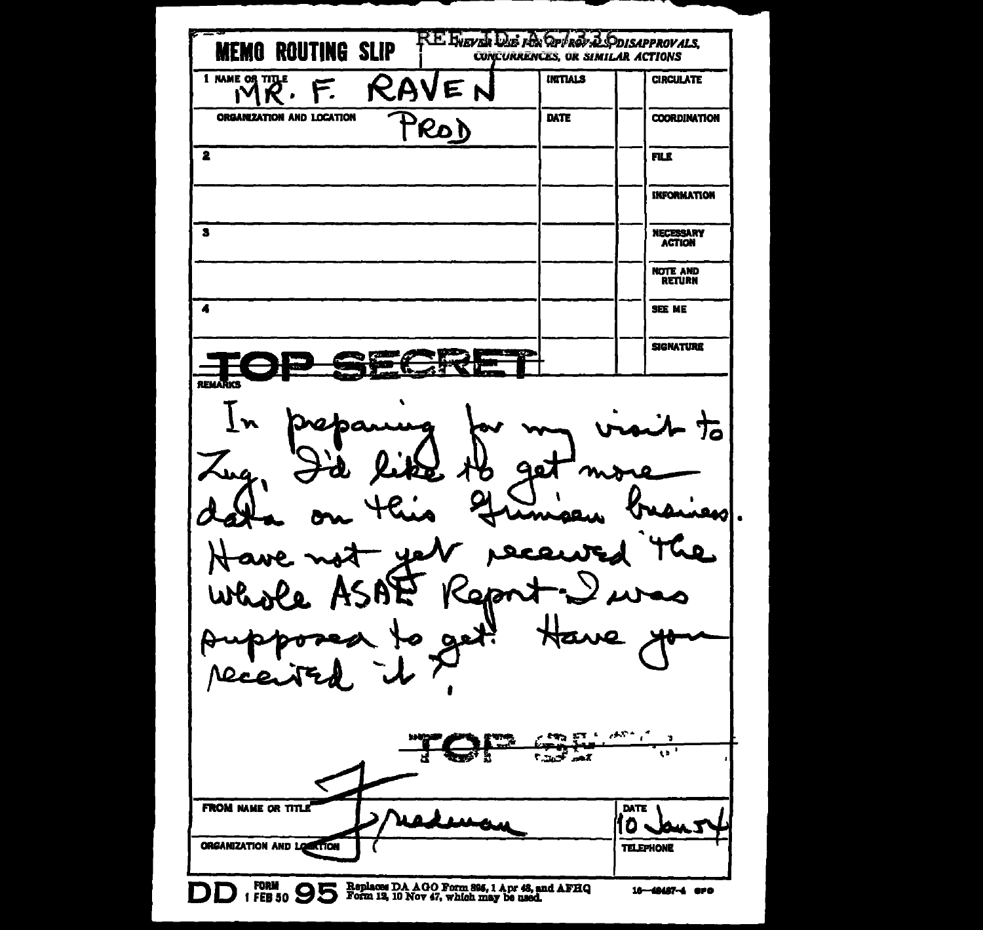RE EVEVEL DE FER OP ROY & ODISAPPROVALS, **MEMO ROUTING SLIP CONCURRENCES, OR SIMILAR ACTIONS INTTIALS** 1 NAME OR TITLE **CIRCULATE** RA E F.  $\boldsymbol{R}$ . ı٧ ORGANIZATION AND LOCATION DATE **COORDINATION** RO)  $\overline{\mathbf{2}}$ FILE. **INFORMATION**  $\overline{\mathbf{s}}$ NECESSARY<br>ACTION NOTE AND<br>RETURN  $\overline{\bullet}$ **SEE ME SIGNATURE** ∞, 冗 **Agj**  $m$  $\bullet$ رە> W 27 **PER ET LANDS** me.<br>----- $\sqrt{2}$ **County** and FROM NAME OR TITLE DATE  $\mathbf{a}$ ORGANIZATION AND LOCATION **TELEPHONE** DD 1 FEB 50 95 Form 13, 10 Nov 47, which may be used. 16-48487-4 arc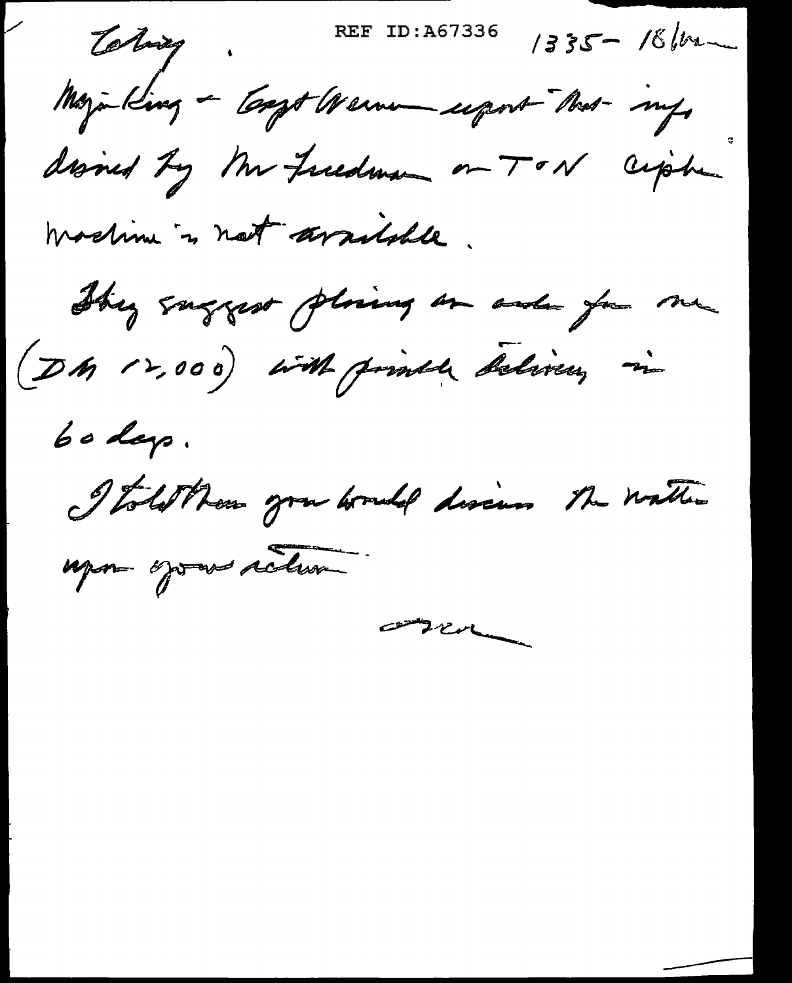Tobiay.

REF ID:A67336

 $1335 - 18$  form

Mayinking - Coopt Werne uport Nes- my

disned by Mr Freedman on TON ciphen

machine is not arribble.

They suggest plaing on and you me (DM 12,000) with printle delivery in

 $60$  days.

I told them you would discuss the watter

upos optes retur

compen